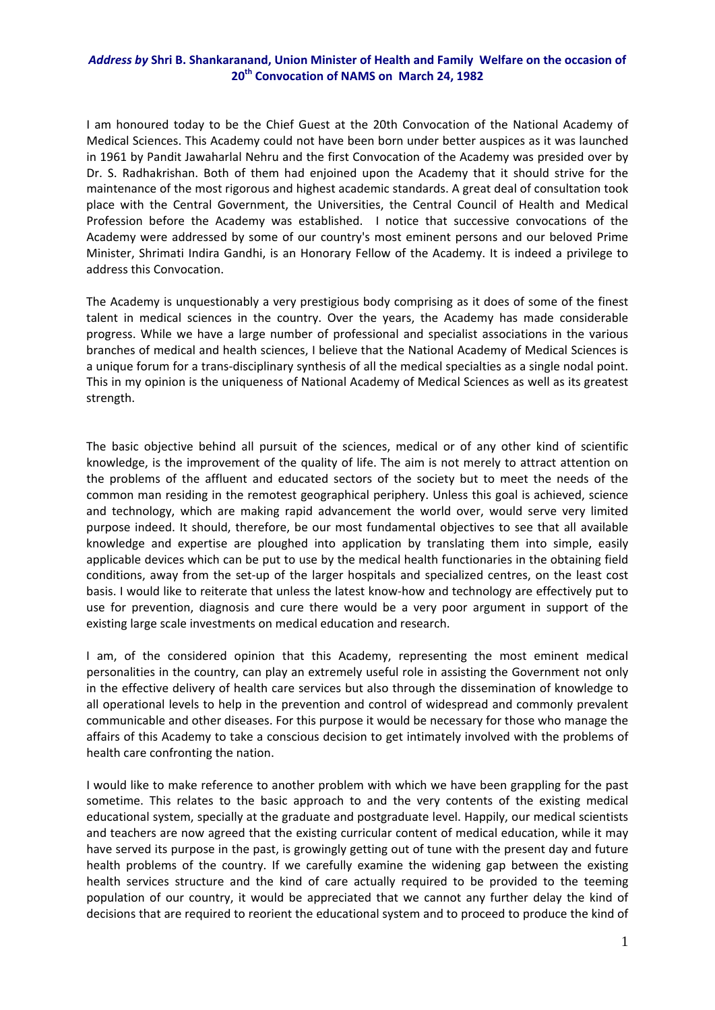## *Address by* **Shri B. Shankaranand, Union Minister of Health and Family Welfare on the occasion of 20th Convocation of NAMS on March 24, 1982**

I am honoured today to be the Chief Guest at the 20th Convocation of the National Academy of Medical Sciences. This Academy could not have been born under better auspices as it was launched in 1961 by Pandit Jawaharlal Nehru and the first Convocation of the Academy was presided over by Dr. S. Radhakrishan. Both of them had enjoined upon the Academy that it should strive for the maintenance of the most rigorous and highest academic standards. A great deal of consultation took place with the Central Government, the Universities, the Central Council of Health and Medical Profession before the Academy was established. I notice that successive convocations of the Academy were addressed by some of our country's most eminent persons and our beloved Prime Minister, Shrimati Indira Gandhi, is an Honorary Fellow of the Academy. It is indeed a privilege to address this Convocation.

The Academy is unquestionably a very prestigious body comprising as it does of some of the finest talent in medical sciences in the country. Over the years, the Academy has made considerable progress. While we have a large number of professional and specialist associations in the various branches of medical and health sciences, I believe that the National Academy of Medical Sciences is a unique forum for a trans‐disciplinary synthesis of all the medical specialties as a single nodal point. This in my opinion is the uniqueness of National Academy of Medical Sciences as well as its greatest strength.

The basic objective behind all pursuit of the sciences, medical or of any other kind of scientific knowledge, is the improvement of the quality of life. The aim is not merely to attract attention on the problems of the affluent and educated sectors of the society but to meet the needs of the common man residing in the remotest geographical periphery. Unless this goal is achieved, science and technology, which are making rapid advancement the world over, would serve very limited purpose indeed. It should, therefore, be our most fundamental objectives to see that all available knowledge and expertise are ploughed into application by translating them into simple, easily applicable devices which can be put to use by the medical health functionaries in the obtaining field conditions, away from the set‐up of the larger hospitals and specialized centres, on the least cost basis. I would like to reiterate that unless the latest know‐how and technology are effectively put to use for prevention, diagnosis and cure there would be a very poor argument in support of the existing large scale investments on medical education and research.

I am, of the considered opinion that this Academy, representing the most eminent medical personalities in the country, can play an extremely useful role in assisting the Government not only in the effective delivery of health care services but also through the dissemination of knowledge to all operational levels to help in the prevention and control of widespread and commonly prevalent communicable and other diseases. For this purpose it would be necessary for those who manage the affairs of this Academy to take a conscious decision to get intimately involved with the problems of health care confronting the nation.

I would like to make reference to another problem with which we have been grappling for the past sometime. This relates to the basic approach to and the very contents of the existing medical educational system, specially at the graduate and postgraduate level. Happily, our medical scientists and teachers are now agreed that the existing curricular content of medical education, while it may have served its purpose in the past, is growingly getting out of tune with the present day and future health problems of the country. If we carefully examine the widening gap between the existing health services structure and the kind of care actually required to be provided to the teeming population of our country, it would be appreciated that we cannot any further delay the kind of decisions that are required to reorient the educational system and to proceed to produce the kind of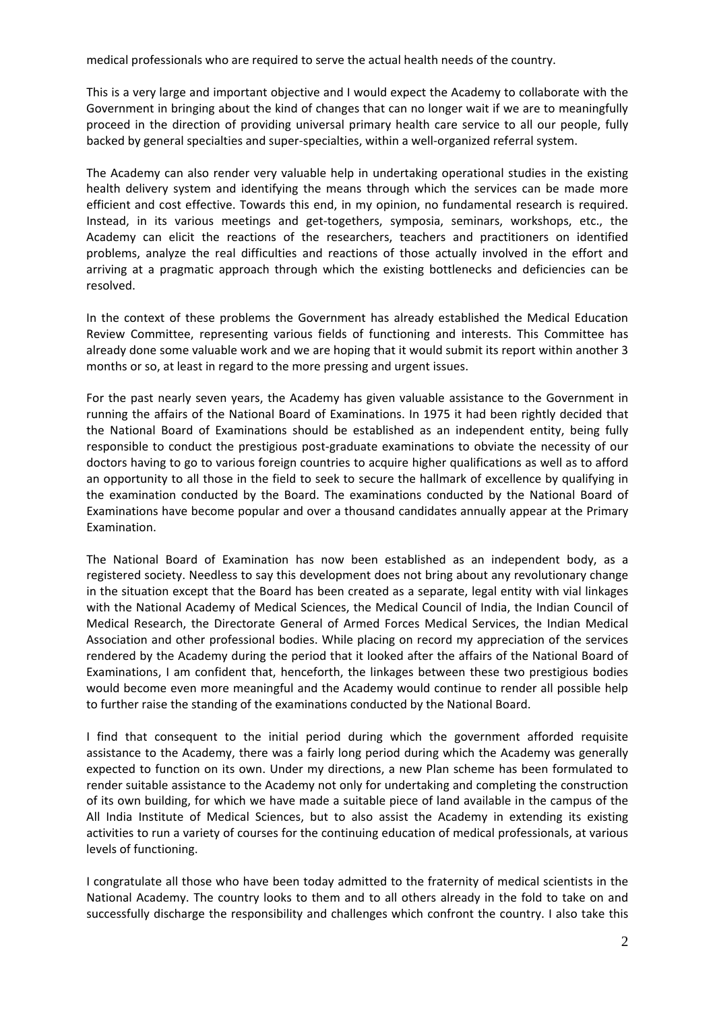medical professionals who are required to serve the actual health needs of the country.

This is a very large and important objective and I would expect the Academy to collaborate with the Government in bringing about the kind of changes that can no longer wait if we are to meaningfully proceed in the direction of providing universal primary health care service to all our people, fully backed by general specialties and super‐specialties, within a well‐organized referral system.

The Academy can also render very valuable help in undertaking operational studies in the existing health delivery system and identifying the means through which the services can be made more efficient and cost effective. Towards this end, in my opinion, no fundamental research is required. Instead, in its various meetings and get‐togethers, symposia, seminars, workshops, etc., the Academy can elicit the reactions of the researchers, teachers and practitioners on identified problems, analyze the real difficulties and reactions of those actually involved in the effort and arriving at a pragmatic approach through which the existing bottlenecks and deficiencies can be resolved.

In the context of these problems the Government has already established the Medical Education Review Committee, representing various fields of functioning and interests. This Committee has already done some valuable work and we are hoping that it would submit its report within another 3 months or so, at least in regard to the more pressing and urgent issues.

For the past nearly seven years, the Academy has given valuable assistance to the Government in running the affairs of the National Board of Examinations. In 1975 it had been rightly decided that the National Board of Examinations should be established as an independent entity, being fully responsible to conduct the prestigious post‐graduate examinations to obviate the necessity of our doctors having to go to various foreign countries to acquire higher qualifications as well as to afford an opportunity to all those in the field to seek to secure the hallmark of excellence by qualifying in the examination conducted by the Board. The examinations conducted by the National Board of Examinations have become popular and over a thousand candidates annually appear at the Primary Examination.

The National Board of Examination has now been established as an independent body, as a registered society. Needless to say this development does not bring about any revolutionary change in the situation except that the Board has been created as a separate, legal entity with vial linkages with the National Academy of Medical Sciences, the Medical Council of India, the Indian Council of Medical Research, the Directorate General of Armed Forces Medical Services, the Indian Medical Association and other professional bodies. While placing on record my appreciation of the services rendered by the Academy during the period that it looked after the affairs of the National Board of Examinations, I am confident that, henceforth, the linkages between these two prestigious bodies would become even more meaningful and the Academy would continue to render all possible help to further raise the standing of the examinations conducted by the National Board.

I find that consequent to the initial period during which the government afforded requisite assistance to the Academy, there was a fairly long period during which the Academy was generally expected to function on its own. Under my directions, a new Plan scheme has been formulated to render suitable assistance to the Academy not only for undertaking and completing the construction of its own building, for which we have made a suitable piece of land available in the campus of the All India Institute of Medical Sciences, but to also assist the Academy in extending its existing activities to run a variety of courses for the continuing education of medical professionals, at various levels of functioning.

I congratulate all those who have been today admitted to the fraternity of medical scientists in the National Academy. The country looks to them and to all others already in the fold to take on and successfully discharge the responsibility and challenges which confront the country. I also take this